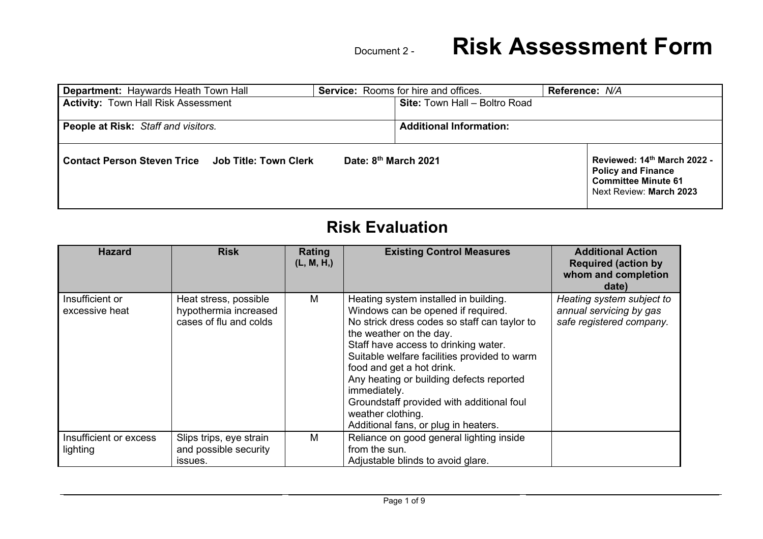| <b>Department: Haywards Heath Town Hall</b>              | <b>Service:</b> Rooms for hire and offices. | Reference: N/A                                                                                                    |
|----------------------------------------------------------|---------------------------------------------|-------------------------------------------------------------------------------------------------------------------|
| <b>Activity: Town Hall Risk Assessment</b>               | <b>Site: Town Hall - Boltro Road</b>        |                                                                                                                   |
| People at Risk: Staff and visitors.                      | <b>Additional Information:</b>              |                                                                                                                   |
| <b>Contact Person Steven Trice Job Title: Town Clerk</b> | Date: 8th March 2021                        | Reviewed: 14th March 2022 -<br><b>Policy and Finance</b><br><b>Committee Minute 61</b><br>Next Review: March 2023 |

#### **Risk Evaluation**

| <b>Hazard</b>                      | <b>Risk</b>                                                              | Rating<br>(L, M, H) | <b>Existing Control Measures</b>                                                                                                                                                                                                                                                                                                                                                                                                                  | <b>Additional Action</b><br><b>Required (action by</b><br>whom and completion<br>date) |
|------------------------------------|--------------------------------------------------------------------------|---------------------|---------------------------------------------------------------------------------------------------------------------------------------------------------------------------------------------------------------------------------------------------------------------------------------------------------------------------------------------------------------------------------------------------------------------------------------------------|----------------------------------------------------------------------------------------|
| Insufficient or<br>excessive heat  | Heat stress, possible<br>hypothermia increased<br>cases of flu and colds | M                   | Heating system installed in building.<br>Windows can be opened if required.<br>No strick dress codes so staff can taylor to<br>the weather on the day.<br>Staff have access to drinking water.<br>Suitable welfare facilities provided to warm<br>food and get a hot drink.<br>Any heating or building defects reported<br>immediately.<br>Groundstaff provided with additional foul<br>weather clothing.<br>Additional fans, or plug in heaters. | Heating system subject to<br>annual servicing by gas<br>safe registered company.       |
| Insufficient or excess<br>lighting | Slips trips, eye strain<br>and possible security<br>issues.              | M                   | Reliance on good general lighting inside<br>from the sun.<br>Adjustable blinds to avoid glare.                                                                                                                                                                                                                                                                                                                                                    |                                                                                        |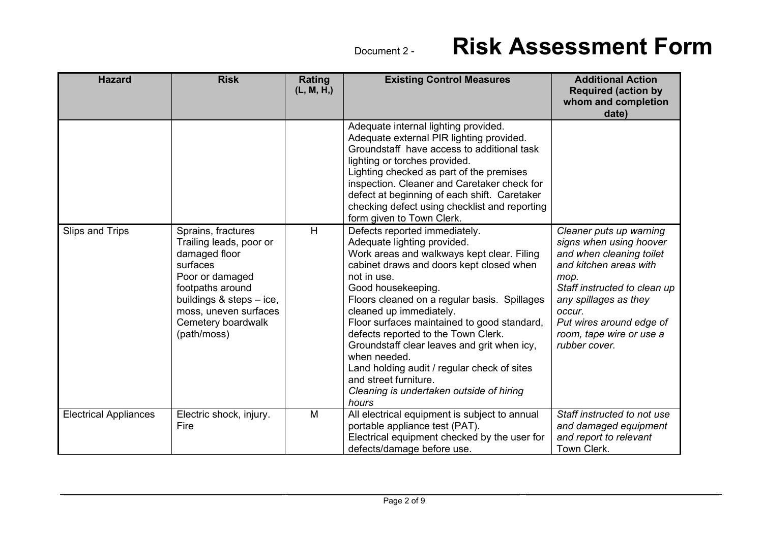| <b>Hazard</b>                | <b>Risk</b>                                                                                                                                                                                                 | Rating<br>(L, M, H) | <b>Existing Control Measures</b>                                                                                                                                                                                                                                                                                                                                                                                                                                                                                                                         | <b>Additional Action</b><br><b>Required (action by</b><br>whom and completion<br>date)                                                                                                                                                                       |
|------------------------------|-------------------------------------------------------------------------------------------------------------------------------------------------------------------------------------------------------------|---------------------|----------------------------------------------------------------------------------------------------------------------------------------------------------------------------------------------------------------------------------------------------------------------------------------------------------------------------------------------------------------------------------------------------------------------------------------------------------------------------------------------------------------------------------------------------------|--------------------------------------------------------------------------------------------------------------------------------------------------------------------------------------------------------------------------------------------------------------|
|                              |                                                                                                                                                                                                             |                     | Adequate internal lighting provided.<br>Adequate external PIR lighting provided.<br>Groundstaff have access to additional task<br>lighting or torches provided.<br>Lighting checked as part of the premises<br>inspection. Cleaner and Caretaker check for<br>defect at beginning of each shift. Caretaker<br>checking defect using checklist and reporting<br>form given to Town Clerk.                                                                                                                                                                 |                                                                                                                                                                                                                                                              |
| Slips and Trips              | Sprains, fractures<br>Trailing leads, poor or<br>damaged floor<br>surfaces<br>Poor or damaged<br>footpaths around<br>buildings & steps - ice,<br>moss, uneven surfaces<br>Cemetery boardwalk<br>(path/moss) | H                   | Defects reported immediately.<br>Adequate lighting provided.<br>Work areas and walkways kept clear. Filing<br>cabinet draws and doors kept closed when<br>not in use.<br>Good housekeeping.<br>Floors cleaned on a regular basis. Spillages<br>cleaned up immediately.<br>Floor surfaces maintained to good standard,<br>defects reported to the Town Clerk.<br>Groundstaff clear leaves and grit when icy,<br>when needed.<br>Land holding audit / regular check of sites<br>and street furniture.<br>Cleaning is undertaken outside of hiring<br>hours | Cleaner puts up warning<br>signs when using hoover<br>and when cleaning toilet<br>and kitchen areas with<br>mop.<br>Staff instructed to clean up<br>any spillages as they<br>occur.<br>Put wires around edge of<br>room, tape wire or use a<br>rubber cover. |
| <b>Electrical Appliances</b> | Electric shock, injury.<br>Fire                                                                                                                                                                             | M                   | All electrical equipment is subject to annual<br>portable appliance test (PAT).<br>Electrical equipment checked by the user for<br>defects/damage before use.                                                                                                                                                                                                                                                                                                                                                                                            | Staff instructed to not use<br>and damaged equipment<br>and report to relevant<br>Town Clerk.                                                                                                                                                                |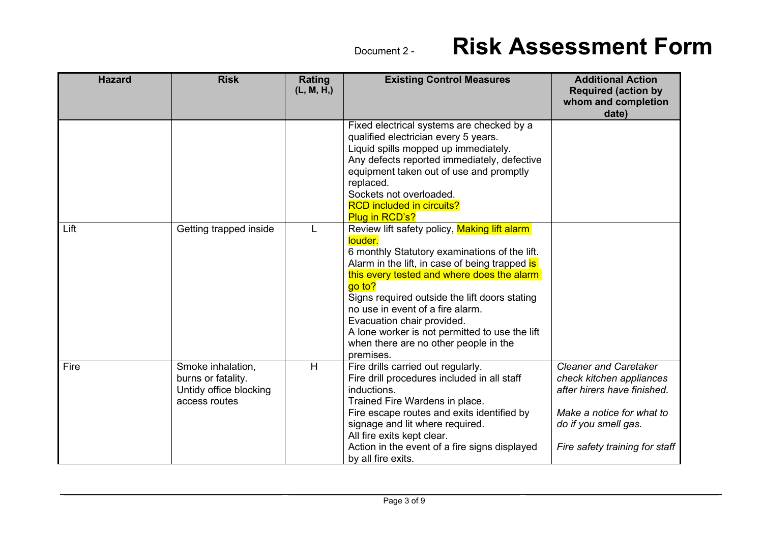| <b>Hazard</b> | <b>Risk</b>                                                                        | Rating<br>(L, M, H) | <b>Existing Control Measures</b>                                                                                                                                                                                                                                                                                                                                                                                                              | <b>Additional Action</b><br><b>Required (action by</b><br>whom and completion<br>date)                                                                                         |
|---------------|------------------------------------------------------------------------------------|---------------------|-----------------------------------------------------------------------------------------------------------------------------------------------------------------------------------------------------------------------------------------------------------------------------------------------------------------------------------------------------------------------------------------------------------------------------------------------|--------------------------------------------------------------------------------------------------------------------------------------------------------------------------------|
|               |                                                                                    |                     | Fixed electrical systems are checked by a<br>qualified electrician every 5 years.<br>Liquid spills mopped up immediately.<br>Any defects reported immediately, defective<br>equipment taken out of use and promptly<br>replaced.<br>Sockets not overloaded.<br><b>RCD included in circuits?</b><br><b>Plug in RCD's?</b>                                                                                                                      |                                                                                                                                                                                |
| Lift          | Getting trapped inside                                                             |                     | Review lift safety policy, Making lift alarm<br>louder.<br>6 monthly Statutory examinations of the lift.<br>Alarm in the lift, in case of being trapped is<br>this every tested and where does the alarm<br>go to?<br>Signs required outside the lift doors stating<br>no use in event of a fire alarm.<br>Evacuation chair provided.<br>A lone worker is not permitted to use the lift<br>when there are no other people in the<br>premises. |                                                                                                                                                                                |
| Fire          | Smoke inhalation,<br>burns or fatality.<br>Untidy office blocking<br>access routes | H                   | Fire drills carried out regularly.<br>Fire drill procedures included in all staff<br>inductions.<br>Trained Fire Wardens in place.<br>Fire escape routes and exits identified by<br>signage and lit where required.<br>All fire exits kept clear.<br>Action in the event of a fire signs displayed<br>by all fire exits.                                                                                                                      | <b>Cleaner and Caretaker</b><br>check kitchen appliances<br>after hirers have finished.<br>Make a notice for what to<br>do if you smell gas.<br>Fire safety training for staff |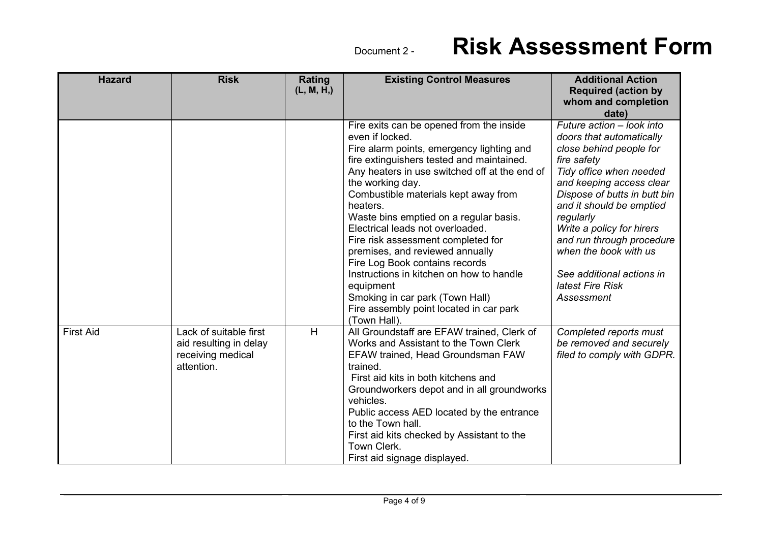| <b>Hazard</b>    | <b>Risk</b>                                                                         | Rating<br>(L, M, H) | <b>Existing Control Measures</b>                                                                                                                                                                                                                                                                                                                                                                                                                                                                                                                                                                                               | <b>Additional Action</b><br><b>Required (action by</b><br>whom and completion<br>date)                                                                                                                                                                                                                                                                                            |
|------------------|-------------------------------------------------------------------------------------|---------------------|--------------------------------------------------------------------------------------------------------------------------------------------------------------------------------------------------------------------------------------------------------------------------------------------------------------------------------------------------------------------------------------------------------------------------------------------------------------------------------------------------------------------------------------------------------------------------------------------------------------------------------|-----------------------------------------------------------------------------------------------------------------------------------------------------------------------------------------------------------------------------------------------------------------------------------------------------------------------------------------------------------------------------------|
|                  |                                                                                     |                     | Fire exits can be opened from the inside<br>even if locked.<br>Fire alarm points, emergency lighting and<br>fire extinguishers tested and maintained.<br>Any heaters in use switched off at the end of<br>the working day.<br>Combustible materials kept away from<br>heaters.<br>Waste bins emptied on a regular basis.<br>Electrical leads not overloaded.<br>Fire risk assessment completed for<br>premises, and reviewed annually<br>Fire Log Book contains records<br>Instructions in kitchen on how to handle<br>equipment<br>Smoking in car park (Town Hall)<br>Fire assembly point located in car park<br>(Town Hall). | Future action - look into<br>doors that automatically<br>close behind people for<br>fire safety<br>Tidy office when needed<br>and keeping access clear<br>Dispose of butts in butt bin<br>and it should be emptied<br>regularly<br>Write a policy for hirers<br>and run through procedure<br>when the book with us<br>See additional actions in<br>latest Fire Risk<br>Assessment |
| <b>First Aid</b> | Lack of suitable first<br>aid resulting in delay<br>receiving medical<br>attention. | H                   | All Groundstaff are EFAW trained, Clerk of<br>Works and Assistant to the Town Clerk<br><b>EFAW trained, Head Groundsman FAW</b><br>trained.<br>First aid kits in both kitchens and<br>Groundworkers depot and in all groundworks<br>vehicles.<br>Public access AED located by the entrance<br>to the Town hall.<br>First aid kits checked by Assistant to the<br>Town Clerk.<br>First aid signage displayed.                                                                                                                                                                                                                   | Completed reports must<br>be removed and securely<br>filed to comply with GDPR.                                                                                                                                                                                                                                                                                                   |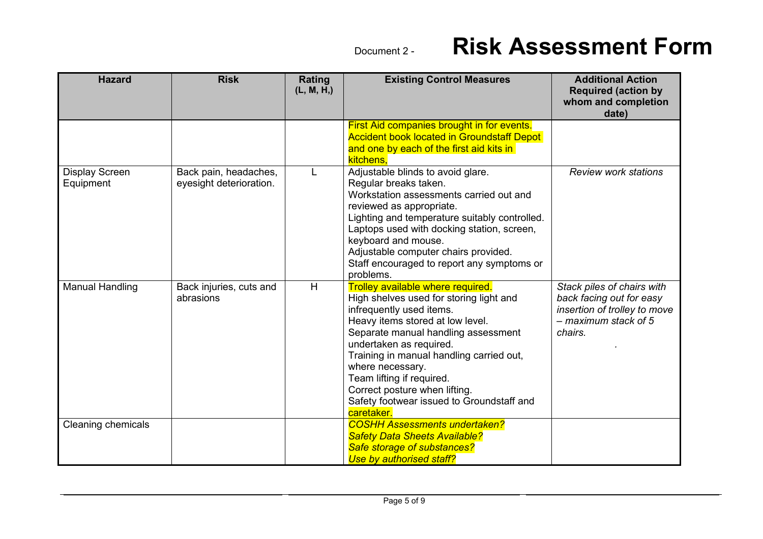| <b>Hazard</b>                      | <b>Risk</b>                                      | Rating<br>(L, M, H) | <b>Existing Control Measures</b>                                                                                                                                                                                                                                                                                                                                                                        | <b>Additional Action</b><br><b>Required (action by</b><br>whom and completion<br>date)                                      |
|------------------------------------|--------------------------------------------------|---------------------|---------------------------------------------------------------------------------------------------------------------------------------------------------------------------------------------------------------------------------------------------------------------------------------------------------------------------------------------------------------------------------------------------------|-----------------------------------------------------------------------------------------------------------------------------|
|                                    |                                                  |                     | <b>First Aid companies brought in for events.</b><br><b>Accident book located in Groundstaff Depot</b><br>and one by each of the first aid kits in<br>kitchens,                                                                                                                                                                                                                                         |                                                                                                                             |
| <b>Display Screen</b><br>Equipment | Back pain, headaches,<br>eyesight deterioration. |                     | Adjustable blinds to avoid glare.<br>Regular breaks taken.<br>Workstation assessments carried out and<br>reviewed as appropriate.<br>Lighting and temperature suitably controlled.<br>Laptops used with docking station, screen,<br>keyboard and mouse.<br>Adjustable computer chairs provided.<br>Staff encouraged to report any symptoms or<br>problems.                                              | <b>Review work stations</b>                                                                                                 |
| <b>Manual Handling</b>             | Back injuries, cuts and<br>abrasions             | H                   | Trolley available where required.<br>High shelves used for storing light and<br>infrequently used items.<br>Heavy items stored at low level.<br>Separate manual handling assessment<br>undertaken as required.<br>Training in manual handling carried out,<br>where necessary.<br>Team lifting if required.<br>Correct posture when lifting.<br>Safety footwear issued to Groundstaff and<br>caretaker. | Stack piles of chairs with<br>back facing out for easy<br>insertion of trolley to move<br>$-$ maximum stack of 5<br>chairs. |
| Cleaning chemicals                 |                                                  |                     | <b>COSHH Assessments undertaken?</b><br><b>Safety Data Sheets Available?</b><br>Safe storage of substances?<br>Use by authorised staff?                                                                                                                                                                                                                                                                 |                                                                                                                             |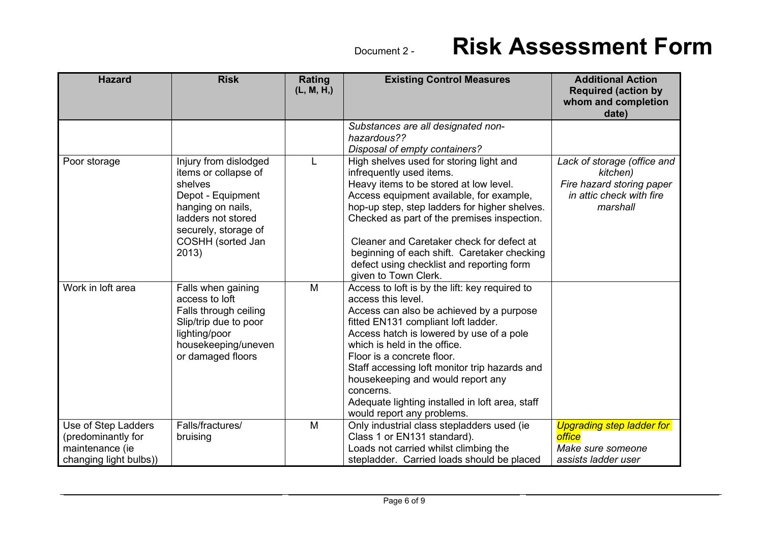| <b>Hazard</b>                                                                          | <b>Risk</b>                                                                                                                                                                    | Rating<br>(L, M, H) | <b>Existing Control Measures</b>                                                                                                                                                                                                                                                                                                                                                                                                                      | <b>Additional Action</b><br><b>Required (action by</b><br>whom and completion<br>date)                       |
|----------------------------------------------------------------------------------------|--------------------------------------------------------------------------------------------------------------------------------------------------------------------------------|---------------------|-------------------------------------------------------------------------------------------------------------------------------------------------------------------------------------------------------------------------------------------------------------------------------------------------------------------------------------------------------------------------------------------------------------------------------------------------------|--------------------------------------------------------------------------------------------------------------|
|                                                                                        |                                                                                                                                                                                |                     | Substances are all designated non-<br>hazardous??<br>Disposal of empty containers?                                                                                                                                                                                                                                                                                                                                                                    |                                                                                                              |
| Poor storage                                                                           | Injury from dislodged<br>items or collapse of<br>shelves<br>Depot - Equipment<br>hanging on nails,<br>ladders not stored<br>securely, storage of<br>COSHH (sorted Jan<br>2013) |                     | High shelves used for storing light and<br>infrequently used items.<br>Heavy items to be stored at low level.<br>Access equipment available, for example,<br>hop-up step, step ladders for higher shelves.<br>Checked as part of the premises inspection.<br>Cleaner and Caretaker check for defect at<br>beginning of each shift. Caretaker checking<br>defect using checklist and reporting form<br>given to Town Clerk.                            | Lack of storage (office and<br>kitchen)<br>Fire hazard storing paper<br>in attic check with fire<br>marshall |
| Work in loft area                                                                      | Falls when gaining<br>access to loft<br>Falls through ceiling<br>Slip/trip due to poor<br>lighting/poor<br>housekeeping/uneven<br>or damaged floors                            | M                   | Access to loft is by the lift: key required to<br>access this level.<br>Access can also be achieved by a purpose<br>fitted EN131 compliant loft ladder.<br>Access hatch is lowered by use of a pole<br>which is held in the office.<br>Floor is a concrete floor.<br>Staff accessing loft monitor trip hazards and<br>housekeeping and would report any<br>concerns.<br>Adequate lighting installed in loft area, staff<br>would report any problems. |                                                                                                              |
| Use of Step Ladders<br>(predominantly for<br>maintenance (ie<br>changing light bulbs)) | Falls/fractures/<br>bruising                                                                                                                                                   | M                   | Only industrial class stepladders used (ie<br>Class 1 or EN131 standard).<br>Loads not carried whilst climbing the<br>stepladder. Carried loads should be placed                                                                                                                                                                                                                                                                                      | <b>Upgrading step ladder for</b><br>office<br>Make sure someone<br>assists ladder user                       |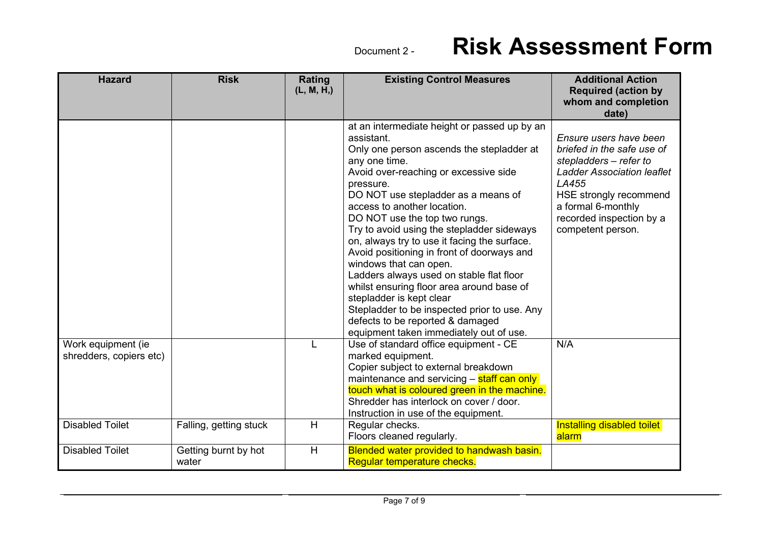| <b>Hazard</b>                                                           | <b>Risk</b>                   | Rating<br>(L, M, H) | <b>Existing Control Measures</b>                                                                                                                                                                                                                                                                                                                                                                                                                                                                                                                                                                                                                                                                                | <b>Additional Action</b><br><b>Required (action by</b><br>whom and completion                                                                                                                                                 |
|-------------------------------------------------------------------------|-------------------------------|---------------------|-----------------------------------------------------------------------------------------------------------------------------------------------------------------------------------------------------------------------------------------------------------------------------------------------------------------------------------------------------------------------------------------------------------------------------------------------------------------------------------------------------------------------------------------------------------------------------------------------------------------------------------------------------------------------------------------------------------------|-------------------------------------------------------------------------------------------------------------------------------------------------------------------------------------------------------------------------------|
|                                                                         |                               |                     |                                                                                                                                                                                                                                                                                                                                                                                                                                                                                                                                                                                                                                                                                                                 | date)                                                                                                                                                                                                                         |
|                                                                         |                               |                     | at an intermediate height or passed up by an<br>assistant.<br>Only one person ascends the stepladder at<br>any one time.<br>Avoid over-reaching or excessive side<br>pressure.<br>DO NOT use stepladder as a means of<br>access to another location.<br>DO NOT use the top two rungs.<br>Try to avoid using the stepladder sideways<br>on, always try to use it facing the surface.<br>Avoid positioning in front of doorways and<br>windows that can open.<br>Ladders always used on stable flat floor<br>whilst ensuring floor area around base of<br>stepladder is kept clear<br>Stepladder to be inspected prior to use. Any<br>defects to be reported & damaged<br>equipment taken immediately out of use. | Ensure users have been<br>briefed in the safe use of<br>stepladders - refer to<br><b>Ladder Association leaflet</b><br>LA455<br>HSE strongly recommend<br>a formal 6-monthly<br>recorded inspection by a<br>competent person. |
| Work equipment (ie<br>shredders, copiers etc)<br><b>Disabled Toilet</b> | Falling, getting stuck        | L<br>H              | Use of standard office equipment - CE<br>marked equipment.<br>Copier subject to external breakdown<br>maintenance and servicing - staff can only<br>touch what is coloured green in the machine.<br>Shredder has interlock on cover / door.<br>Instruction in use of the equipment.<br>Regular checks.                                                                                                                                                                                                                                                                                                                                                                                                          | N/A<br>Installing disabled toilet                                                                                                                                                                                             |
|                                                                         |                               |                     | Floors cleaned regularly.                                                                                                                                                                                                                                                                                                                                                                                                                                                                                                                                                                                                                                                                                       | alarm                                                                                                                                                                                                                         |
| <b>Disabled Toilet</b>                                                  | Getting burnt by hot<br>water | H                   | Blended water provided to handwash basin.<br>Regular temperature checks.                                                                                                                                                                                                                                                                                                                                                                                                                                                                                                                                                                                                                                        |                                                                                                                                                                                                                               |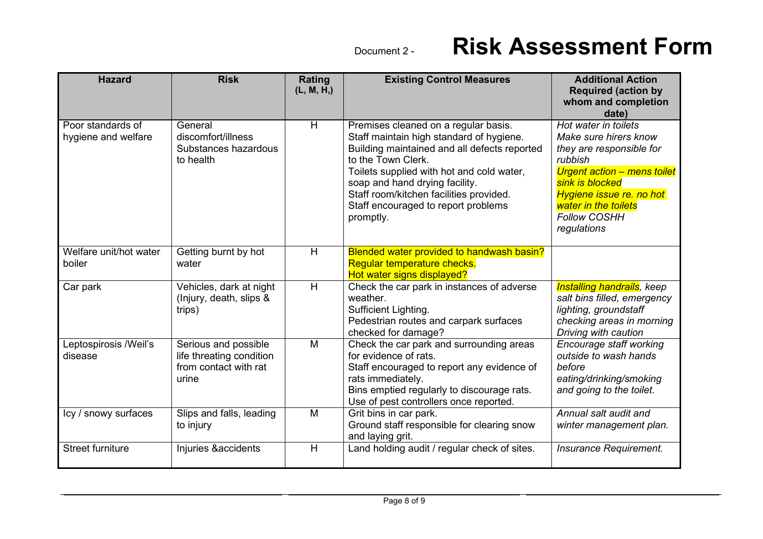| <b>Hazard</b>                            | <b>Risk</b>                                                                        | Rating<br>(L, M, H) | <b>Existing Control Measures</b>                                                                                                                                                                                                                                                                                                     | <b>Additional Action</b><br><b>Required (action by</b><br>whom and completion<br>date)                                                                                                                                           |
|------------------------------------------|------------------------------------------------------------------------------------|---------------------|--------------------------------------------------------------------------------------------------------------------------------------------------------------------------------------------------------------------------------------------------------------------------------------------------------------------------------------|----------------------------------------------------------------------------------------------------------------------------------------------------------------------------------------------------------------------------------|
| Poor standards of<br>hygiene and welfare | General<br>discomfort/illness<br>Substances hazardous<br>to health                 | $\overline{H}$      | Premises cleaned on a regular basis.<br>Staff maintain high standard of hygiene.<br>Building maintained and all defects reported<br>to the Town Clerk.<br>Toilets supplied with hot and cold water,<br>soap and hand drying facility.<br>Staff room/kitchen facilities provided.<br>Staff encouraged to report problems<br>promptly. | Hot water in toilets<br>Make sure hirers know<br>they are responsible for<br>rubbish<br>Urgent action - mens toilet<br>sink is blocked<br>Hygiene issue re. no hot<br>water in the toilets<br><b>Follow COSHH</b><br>regulations |
| Welfare unit/hot water<br>boiler         | Getting burnt by hot<br>water                                                      | H                   | Blended water provided to handwash basin?<br>Regular temperature checks.<br>Hot water signs displayed?                                                                                                                                                                                                                               |                                                                                                                                                                                                                                  |
| Car park                                 | Vehicles, dark at night<br>(Injury, death, slips &<br>trips)                       | H                   | Check the car park in instances of adverse<br>weather.<br>Sufficient Lighting.<br>Pedestrian routes and carpark surfaces<br>checked for damage?                                                                                                                                                                                      | <b>Installing handrails</b> , keep<br>salt bins filled, emergency<br>lighting, groundstaff<br>checking areas in morning<br>Driving with caution                                                                                  |
| Leptospirosis /Weil's<br>disease         | Serious and possible<br>life threating condition<br>from contact with rat<br>urine | M                   | Check the car park and surrounding areas<br>for evidence of rats.<br>Staff encouraged to report any evidence of<br>rats immediately.<br>Bins emptied regularly to discourage rats.<br>Use of pest controllers once reported.                                                                                                         | Encourage staff working<br>outside to wash hands<br>before<br>eating/drinking/smoking<br>and going to the toilet.                                                                                                                |
| Icy / snowy surfaces                     | Slips and falls, leading<br>to injury                                              | M                   | Grit bins in car park.<br>Ground staff responsible for clearing snow<br>and laying grit.                                                                                                                                                                                                                                             | Annual salt audit and<br>winter management plan.                                                                                                                                                                                 |
| <b>Street furniture</b>                  | Injuries &accidents                                                                | H                   | Land holding audit / regular check of sites.                                                                                                                                                                                                                                                                                         | Insurance Requirement.                                                                                                                                                                                                           |